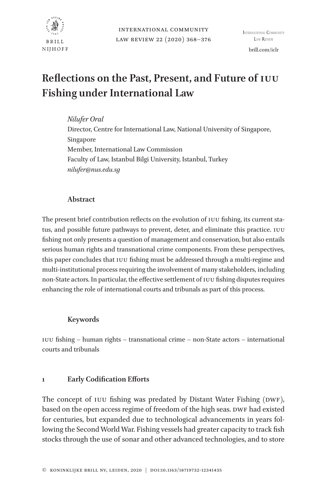

# **Reflections on the Past, Present, and Future of IUU Fishing under International Law**

*Nilufer Oral*

Director, Centre for International Law, National University of Singapore, Singapore Member, International Law Commission Faculty of Law, Istanbul Bilgi University, Istanbul, Turkey *nilufer@nus.edu.sg*

# **Abstract**

The present brief contribution reflects on the evolution of IUU fishing, its current status, and possible future pathways to prevent, deter, and eliminate this practice. IUU fishing not only presents a question of management and conservation, but also entails serious human rights and transnational crime components. From these perspectives, this paper concludes that IUU fishing must be addressed through a multi-regime and multi-institutional process requiring the involvement of many stakeholders, including non-State actors. In particular, the effective settlement of IUU fishing disputes requires enhancing the role of international courts and tribunals as part of this process.

# **Keywords**

IUU fishing – human rights – transnational crime – non-State actors – international courts and tribunals

# **1 Early Codification Efforts**

The concept of IUU fishing was predated by Distant Water Fishing (DWF), based on the open access regime of freedom of the high seas. DWF had existed for centuries, but expanded due to technological advancements in years following the Second World War. Fishing vessels had greater capacity to track fish stocks through the use of sonar and other advanced technologies, and to store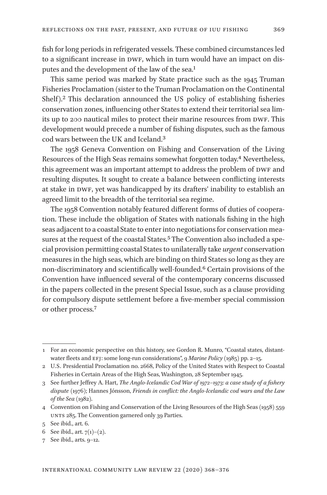fish for long periods in refrigerated vessels. These combined circumstances led to a significant increase in DWF, which in turn would have an impact on disputes and the development of the law of the sea.<sup>1</sup>

This same period was marked by State practice such as the 1945 Truman Fisheries Proclamation (sister to the Truman Proclamation on the Continental Shelf).2 This declaration announced the US policy of establishing fisheries conservation zones, influencing other States to extend their territorial sea limits up to 200 nautical miles to protect their marine resources from DWF. This development would precede a number of fishing disputes, such as the famous cod wars between the UK and Iceland.3

The 1958 Geneva Convention on Fishing and Conservation of the Living Resources of the High Seas remains somewhat forgotten today.<sup>4</sup> Nevertheless, this agreement was an important attempt to address the problem of DWF and resulting disputes. It sought to create a balance between conflicting interests at stake in DWF, yet was handicapped by its drafters' inability to establish an agreed limit to the breadth of the territorial sea regime.

The 1958 Convention notably featured different forms of duties of cooperation. These include the obligation of States with nationals fishing in the high seas adjacent to a coastal State to enter into negotiations for conservation measures at the request of the coastal States.<sup>5</sup> The Convention also included a special provision permitting coastal States to unilaterally take *urgent* conservation measures in the high seas, which are binding on third States so long as they are non-discriminatory and scientifically well-founded.6 Certain provisions of the Convention have influenced several of the contemporary concerns discussed in the papers collected in the present Special Issue, such as a clause providing for compulsory dispute settlement before a five-member special commission or other process.7

<sup>1</sup> For an economic perspective on this history, see Gordon R. Munro, "Coastal states, distantwater fleets and EFJ: some long-run considerations", 9 *Marine Policy* (1985) pp. 2–15.

<sup>2</sup> U.S. Presidential Proclamation no. 2668, Policy of the United States with Respect to Coastal Fisheries in Certain Areas of the High Seas, Washington, 28 September 1945.

<sup>3</sup> See further Jeffrey A. Hart, *The Anglo-Icelandic Cod War of 1972–1973: a case study of a fishery dispute* (1976); Hannes Jónsson, *Friends in conflict: the Anglo-Icelandic cod wars and the Law of the Sea* (1982).

<sup>4</sup> Convention on Fishing and Conservation of the Living Resources of the High Seas (1958) 559 UNTS 285. The Convention garnered only 39 Parties.

<sup>5</sup> See ibid., art. 6.

<sup>6</sup> See ibid., art.  $7(1)–(2)$ .

<sup>7</sup> See ibid., arts. 9–12.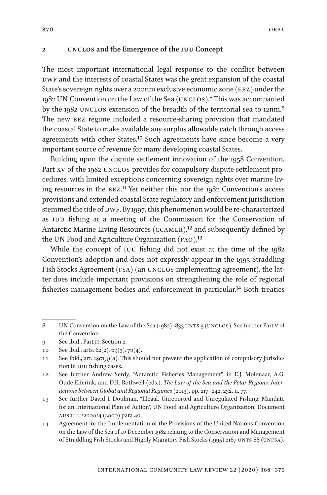### **2 UNCLOS and the Emergence of the IUU Concept**

The most important international legal response to the conflict between DWF and the interests of coastal States was the great expansion of the coastal State's sovereign rights over a 200nm exclusive economic zone (EEZ) under the 1982 UN Convention on the Law of the Sea (UNCLOS).8 This was accompanied by the 1982 UNCLOS extension of the breadth of the territorial sea to 12nm.9 The new EEZ regime included a resource-sharing provision that mandated the coastal State to make available any surplus allowable catch through access agreements with other States.<sup>10</sup> Such agreements have since become a very important source of revenue for many developing coastal States.

Building upon the dispute settlement innovation of the 1958 Convention, Part XV of the 1982 UNCLOS provides for compulsory dispute settlement procedures, with limited exceptions concerning sovereign rights over marine living resources in the  $EZ$ .<sup>11</sup> Yet neither this nor the  $1982$  Convention's access provisions and extended coastal State regulatory and enforcement jurisdiction stemmed the tide of DWF. By 1997, this phenomenon would be re-characterized as IUU fishing at a meeting of the Commission for the Conservation of Antarctic Marine Living Resources (CCAMLR),<sup>12</sup> and subsequently defined by the UN Food and Agriculture Organization (FAO).<sup>13</sup>

While the concept of IUU fishing did not exist at the time of the 1982 Convention's adoption and does not expressly appear in the 1995 Straddling Fish Stocks Agreement (FSA) (an UNCLOS implementing agreement), the latter does include important provisions on strengthening the role of regional fisheries management bodies and enforcement in particular.14 Both treaties

<sup>8</sup> UN Convention on the Law of the Sea (1982) 1833 UNTS 3 (UNCLOS). See further Part V of the Convention.

<sup>9</sup> See ibid., Part II, Section 2.

<sup>10</sup> See ibid., arts. 62(2), 69(3), 70(4).

<sup>11</sup> See ibid., art. 297(3)(a). This should not prevent the application of compulsory jurisdiction in IUU fishing cases.

<sup>12</sup> See further Andrew Serdy, "Antarctic Fisheries Management", in E.J. Molenaar, A.G. Oude Elferink, and D.R. Rothwell (eds.), *The Law of the Sea and the Polar Regions: Interactions between Global and Regional Regimes* (2013), pp. 217–242, 232, n. 77.

<sup>13</sup> See further David J. Doulman, "Illegal, Unreported and Unregulated Fishing: Mandate for an International Plan of Action", UN Food and Agriculture Organization, Document AUS:IUU/2000/4 (2000) para 40.

<sup>14</sup> Agreement for the Implementation of the Provisions of the United Nations Convention on the Law of the Sea of 10 December 1982 relating to the Conservation and Management of Straddling Fish Stocks and Highly Migratory Fish Stocks (1995) 2167 UNTS 88 (UNFSA).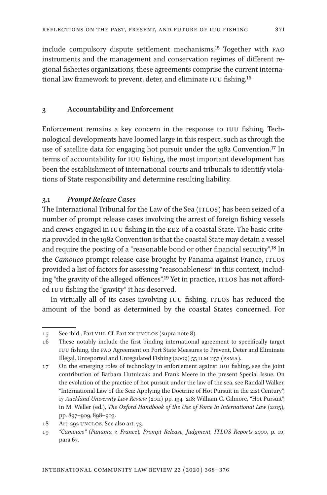include compulsory dispute settlement mechanisms.15 Together with FAO instruments and the management and conservation regimes of different regional fisheries organizations, these agreements comprise the current international law framework to prevent, deter, and eliminate IUU fishing.16

## **3 Accountability and Enforcement**

Enforcement remains a key concern in the response to IUU fishing. Technological developments have loomed large in this respect, such as through the use of satellite data for engaging hot pursuit under the 1982 Convention.17 In terms of accountability for IUU fishing, the most important development has been the establishment of international courts and tribunals to identify violations of State responsibility and determine resulting liability.

## **3.1** *Prompt Release Cases*

The International Tribunal for the Law of the Sea (ITLOS) has been seized of a number of prompt release cases involving the arrest of foreign fishing vessels and crews engaged in IUU fishing in the EEZ of a coastal State. The basic criteria provided in the 1982 Convention is that the coastal State may detain a vessel and require the posting of a "reasonable bond or other financial security".18 In the *Camouco* prompt release case brought by Panama against France, ITLOS provided a list of factors for assessing "reasonableness" in this context, including "the gravity of the alleged offences".19 Yet in practice, ITLOS has not afforded IUU fishing the "gravity" it has deserved.

In virtually all of its cases involving IUU fishing, ITLOS has reduced the amount of the bond as determined by the coastal States concerned. For

<sup>15</sup> See ibid., Part VIII. Cf. Part XV UNCLOS (supra note 8).

<sup>16</sup> These notably include the first binding international agreement to specifically target IUU fishing, the FAO Agreement on Port State Measures to Prevent, Deter and Eliminate Illegal, Unreported and Unregulated Fishing (2009) 55 ILM 1157 (PSMA).

<sup>17</sup> On the emerging roles of technology in enforcement against IUU fishing, see the joint contribution of Barbara Hutniczak and Frank Meere in the present Special Issue. On the evolution of the practice of hot pursuit under the law of the sea, see Randall Walker, "International Law of the Sea: Applying the Doctrine of Hot Pursuit in the 21st Century", 17 *Auckland University Law Review* (2011) pp. 194–218; William C. Gilmore, "Hot Pursuit", in M. Weller (ed.), *The Oxford Handbook of the Use of Force in International Law* (2015), pp. 897–909, 898–903.

<sup>18</sup> Art. 292 UNCLOS. See also art. 73.

<sup>19</sup> *"Camouco" (Panama v. France), Prompt Release, Judgment, ITLOS Reports 2000*, p. 10, para 67.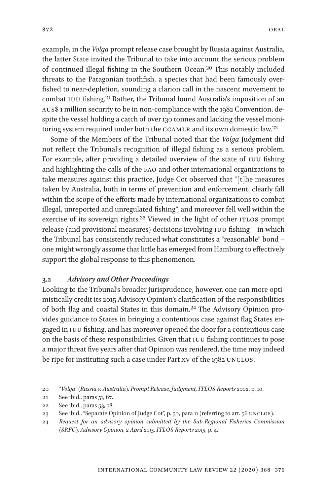example, in the *Volga* prompt release case brought by Russia against Australia, the latter State invited the Tribunal to take into account the serious problem of continued illegal fishing in the Southern Ocean.20 This notably included threats to the Patagonian toothfish, a species that had been famously overfished to near-depletion, sounding a clarion call in the nascent movement to combat IUU fishing.21 Rather, the Tribunal found Australia's imposition of an AUS\$ 1 million security to be in non-compliance with the 1982 Convention, despite the vessel holding a catch of over 130 tonnes and lacking the vessel monitoring system required under both the CCAMLR and its own domestic law.22

Some of the Members of the Tribunal noted that the *Volga* Judgment did not reflect the Tribunal's recognition of illegal fishing as a serious problem. For example, after providing a detailed overview of the state of IUU fishing and highlighting the calls of the FAO and other international organizations to take measures against this practice, Judge Cot observed that "[t]he measures taken by Australia, both in terms of prevention and enforcement, clearly fall within the scope of the efforts made by international organizations to combat illegal, unreported and unregulated fishing", and moreover fell well within the exercise of its sovereign rights.23 Viewed in the light of other ITLOS prompt release (and provisional measures) decisions involving IUU fishing – in which the Tribunal has consistently reduced what constitutes a "reasonable" bond – one might wrongly assume that little has emerged from Hamburg to effectively support the global response to this phenomenon.

## **3.2** *Advisory and Other Proceedings*

Looking to the Tribunal's broader jurisprudence, however, one can more optimistically credit its 2015 Advisory Opinion's clarification of the responsibilities of both flag and coastal States in this domain.24 The Advisory Opinion provides guidance to States in bringing a contentious case against flag States engaged in IUU fishing, and has moreover opened the door for a contentious case on the basis of these responsibilities. Given that IUU fishing continues to pose a major threat five years after that Opinion was rendered, the time may indeed be ripe for instituting such a case under Part XV of the 1982 UNCLOS.

<sup>20</sup> *"Volga" (Russia v. Australia), Prompt Release, Judgment, ITLOS Reports 2002*, p. 10.

<sup>21</sup> See ibid., paras 51, 67.

<sup>22</sup> See ibid., paras 53, 78.

<sup>23</sup> See ibid., "Separate Opinion of Judge Cot", p. 50, para 11 (referring to art. 56 UNCLOS).

<sup>24</sup> *Request for an advisory opinion submitted by the Sub-Regional Fisheries Commission (SRFC), Advisory Opinion, 2 April 2015, ITLOS Reports 2015*, p. 4.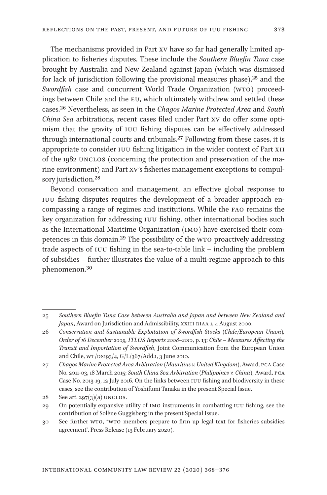The mechanisms provided in Part XV have so far had generally limited application to fisheries disputes. These include the *Southern Bluefin Tuna* case brought by Australia and New Zealand against Japan (which was dismissed for lack of jurisdiction following the provisional measures phase),  $2^5$  and the *Swordfish* case and concurrent World Trade Organization (WTO) proceedings between Chile and the EU, which ultimately withdrew and settled these cases.26 Nevertheless, as seen in the *Chagos Marine Protected Area* and *South China Sea* arbitrations, recent cases filed under Part XV do offer some optimism that the gravity of IUU fishing disputes can be effectively addressed through international courts and tribunals.27 Following from these cases, it is appropriate to consider IUU fishing litigation in the wider context of Part XII of the 1982 UNCLOS (concerning the protection and preservation of the marine environment) and Part XV's fisheries management exceptions to compulsory jurisdiction.<sup>28</sup>

Beyond conservation and management, an effective global response to IUU fishing disputes requires the development of a broader approach encompassing a range of regimes and institutions. While the FAO remains the key organization for addressing IUU fishing, other international bodies such as the International Maritime Organization (IMO) have exercised their competences in this domain.29 The possibility of the WTO proactively addressing trade aspects of IUU fishing in the sea-to-table link – including the problem of subsidies – further illustrates the value of a multi-regime approach to this phenomenon.30

<sup>25</sup> *Southern Bluefin Tuna Case between Australia and Japan and between New Zealand and Japan*, Award on Jurisdiction and Admissibility, XXIII RIAA 1, 4 August 2000.

<sup>26</sup> *Conservation and Sustainable Exploitation of Swordfish Stocks (Chile/European Union), Order of 16 December 2009, ITLOS Reports 2008–2010*, p. 13; *Chile – Measures Affecting the Transit and Importation of Swordfish*, Joint Communication from the European Union and Chile, WT/DS193/4, G/L/367/Add.1, 3 June 2010.

<sup>27</sup> *Chagos Marine Protected Area Arbitration (Mauritius v. United Kingdom)*, Award, PCA Case No. 2011-03, 18 March 2015; *South China Sea Arbitration (Philippines v. China)*, Award, PCA Case No. 2013-19, 12 July 2016. On the links between IUU fishing and biodiversity in these cases, see the contribution of Yoshifumi Tanaka in the present Special Issue.

<sup>28</sup> See art. 297 $(3)(a)$  UNCLOS.

<sup>29</sup> On potentially expansive utility of IMO instruments in combatting IUU fishing, see the contribution of Solène Guggisberg in the present Special Issue.

<sup>30</sup> See further WTO, "WTO members prepare to firm up legal text for fisheries subsidies agreement", Press Release (13 February 2020).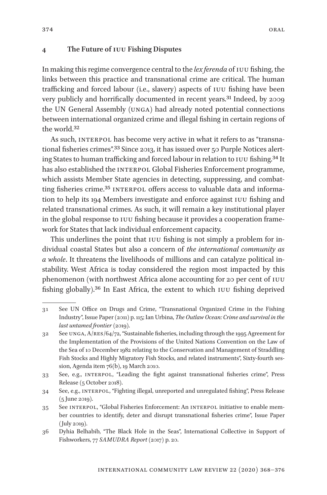## **4 The Future of IUU Fishing Disputes**

In making this regime convergence central to the *lex ferenda* of IUU fishing, the links between this practice and transnational crime are critical. The human trafficking and forced labour (i.e., slavery) aspects of IUU fishing have been very publicly and horrifically documented in recent years.<sup>31</sup> Indeed, by 2009 the UN General Assembly (UNGA) had already noted potential connections between international organized crime and illegal fishing in certain regions of the world 32

As such, INTERPOL has become very active in what it refers to as "transnational fisheries crimes".<sup>33</sup> Since 2013, it has issued over 50 Purple Notices alerting States to human trafficking and forced labour in relation to IUU fishing.34 It has also established the INTERPOL Global Fisheries Enforcement programme, which assists Member State agencies in detecting, suppressing, and combatting fisheries crime.<sup>35</sup> INTERPOL offers access to valuable data and information to help its 194 Members investigate and enforce against IUU fishing and related transnational crimes. As such, it will remain a key institutional player in the global response to IUU fishing because it provides a cooperation framework for States that lack individual enforcement capacity.

This underlines the point that IUU fishing is not simply a problem for individual coastal States but also a concern of *the international community as a whole*. It threatens the livelihoods of millions and can catalyze political instability. West Africa is today considered the region most impacted by this phenomenon (with northwest Africa alone accounting for 20 per cent of IUU fishing globally).36 In East Africa, the extent to which IUU fishing deprived

<sup>31</sup> See UN Office on Drugs and Crime, "Transnational Organized Crime in the Fishing Industry", Issue Paper (2011) p. 115; Ian Urbina, *The Outlaw Ocean: Crime and survival in the last untamed frontier* (2019).

<sup>32</sup> See UNGA, A/RES/64/72, "Sustainable fisheries, including through the 1995 Agreement for the Implementation of the Provisions of the United Nations Convention on the Law of the Sea of 10 December 1982 relating to the Conservation and Management of Straddling Fish Stocks and Highly Migratory Fish Stocks, and related instruments", Sixty-fourth session, Agenda item 76(b), 19 March 2010.

<sup>33</sup> See, e.g., INTERPOL, "Leading the fight against transnational fisheries crime", Press Release (5 October 2018).

<sup>34</sup> See, e.g., INTERPOL, "Fighting illegal, unreported and unregulated fishing", Press Release (5 June 2019).

<sup>35</sup> See INTERPOL, "Global Fisheries Enforcement: An INTERPOL initiative to enable member countries to identify, deter and disrupt transnational fisheries crime", Issue Paper (July 2019).

<sup>36</sup> Dyhia Belhabib, "The Black Hole in the Seas", International Collective in Support of Fishworkers, 77 *SAMUDRA Report* (2017) p. 20.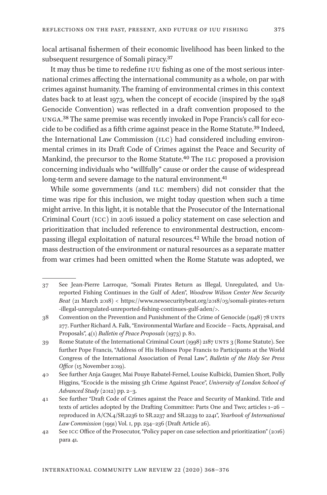local artisanal fishermen of their economic livelihood has been linked to the subsequent resurgence of Somali piracy.37

It may thus be time to redefine IUU fishing as one of the most serious international crimes affecting the international community as a whole, on par with crimes against humanity. The framing of environmental crimes in this context dates back to at least 1973, when the concept of ecocide (inspired by the 1948 Genocide Convention) was reflected in a draft convention proposed to the UNGA.38 The same premise was recently invoked in Pope Francis's call for ecocide to be codified as a fifth crime against peace in the Rome Statute.39 Indeed, the International Law Commission (ILC) had considered including environmental crimes in its Draft Code of Crimes against the Peace and Security of Mankind, the precursor to the Rome Statute.40 The ILC proposed a provision concerning individuals who "willfully" cause or order the cause of widespread long-term and severe damage to the natural environment.<sup>41</sup>

While some governments (and ILC members) did not consider that the time was ripe for this inclusion, we might today question when such a time might arrive. In this light, it is notable that the Prosecutor of the International Criminal Court (ICC) in 2016 issued a policy statement on case selection and prioritization that included reference to environmental destruction, encompassing illegal exploitation of natural resources.42 While the broad notion of mass destruction of the environment or natural resources as a separate matter from war crimes had been omitted when the Rome Statute was adopted, we

<sup>37</sup> See Jean-Pierre Larroque, "Somali Pirates Return as Illegal, Unregulated, and Unreported Fishing Continues in the Gulf of Aden", *Woodrow Wilson Center New Security Beat* (21 March 2018) < https://www.newsecuritybeat.org/2018/03/somali-pirates-return -illegal-unregulated-unreported-fishing-continues-gulf-aden/>.

<sup>38</sup> Convention on the Prevention and Punishment of the Crime of Genocide (1948) 78 UNTS 277. Further Richard A. Falk, "Environmental Warfare and Ecocide – Facts, Appraisal, and Proposals", 4(1) *Bulletin of Peace Proposals* (1973) p. 80.

<sup>39</sup> Rome Statute of the International Criminal Court (1998) 2187 UNTS 3 (Rome Statute). See further Pope Francis, "Address of His Holiness Pope Francis to Participants at the World Congress of the International Association of Penal Law", *Bulletin of the Holy See Press Office* (15 November 2019).

<sup>40</sup> See further Anja Gauger, Mai Pouye Rabatel-Fernel, Louise Kulbicki, Damien Short, Polly Higgins, "Ecocide is the missing 5th Crime Against Peace", *University of London School of Advanced Study* (2012) pp. 2–3.

<sup>41</sup> See further "Draft Code of Crimes against the Peace and Security of Mankind. Title and texts of articles adopted by the Drafting Committee: Parts One and Two; articles 1–26 – reproduced in A/CN.4/SR.2236 to SR.2237 and SR.2239 to 2241", *Yearbook of International Law Commission* (1991) Vol. I, pp. 234–236 (Draft Article 26).

<sup>42</sup> See ICC Office of the Prosecutor, "Policy paper on case selection and prioritization" (2016) para 41.